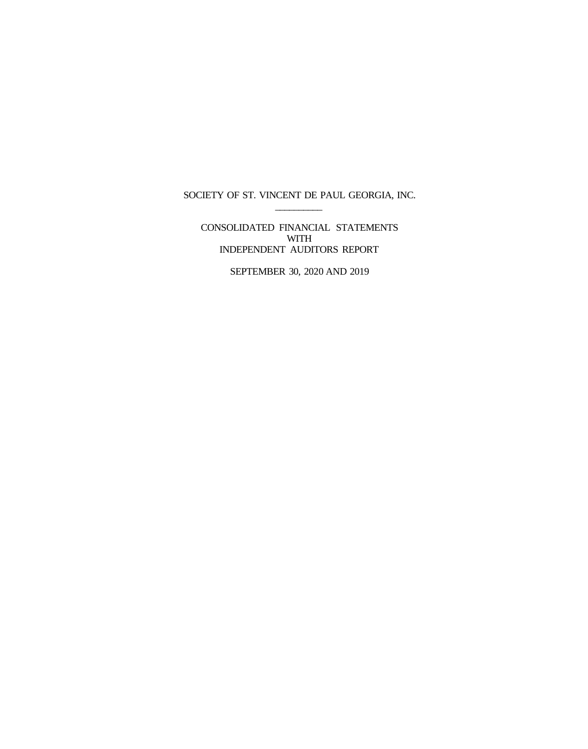## SOCIETY OF ST. VINCENT DE PAUL GEORGIA, INC. \_\_\_\_\_\_\_\_\_\_

CONSOLIDATED FINANCIAL STATEMENTS WITH INDEPENDENT AUDITORS REPORT

SEPTEMBER 30, 2020 AND 2019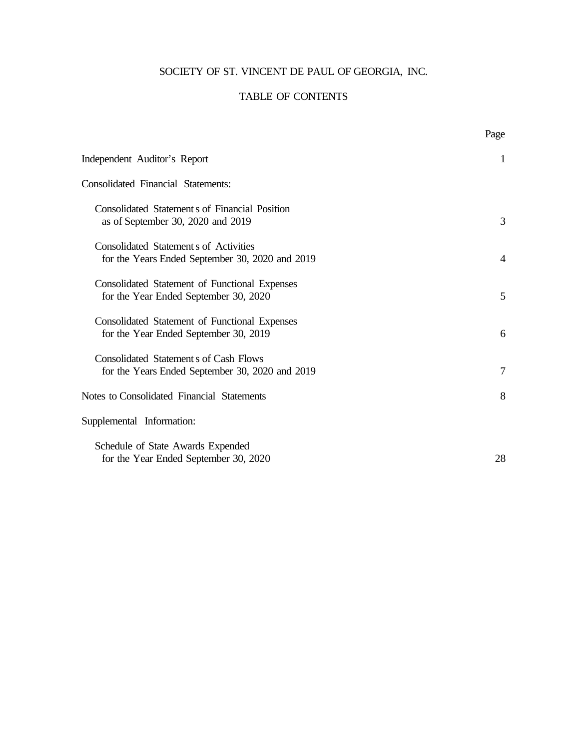# SOCIETY OF ST. VINCENT DE PAUL OF GEORGIA, INC.

# TABLE OF CONTENTS

|                                                                                                  | Page           |
|--------------------------------------------------------------------------------------------------|----------------|
| Independent Auditor's Report                                                                     | $\mathbf{1}$   |
| <b>Consolidated Financial Statements:</b>                                                        |                |
| <b>Consolidated Statement s of Financial Position</b><br>as of September 30, 2020 and 2019       | 3              |
| <b>Consolidated Statement s of Activities</b><br>for the Years Ended September 30, 2020 and 2019 | 4              |
| Consolidated Statement of Functional Expenses<br>for the Year Ended September 30, 2020           | 5              |
| Consolidated Statement of Functional Expenses<br>for the Year Ended September 30, 2019           | 6              |
| Consolidated Statement s of Cash Flows<br>for the Years Ended September 30, 2020 and 2019        | $\overline{7}$ |
| Notes to Consolidated Financial Statements                                                       | 8              |
| Supplemental Information:                                                                        |                |
| Schedule of State Awards Expended<br>for the Year Ended September 30, 2020                       | 28             |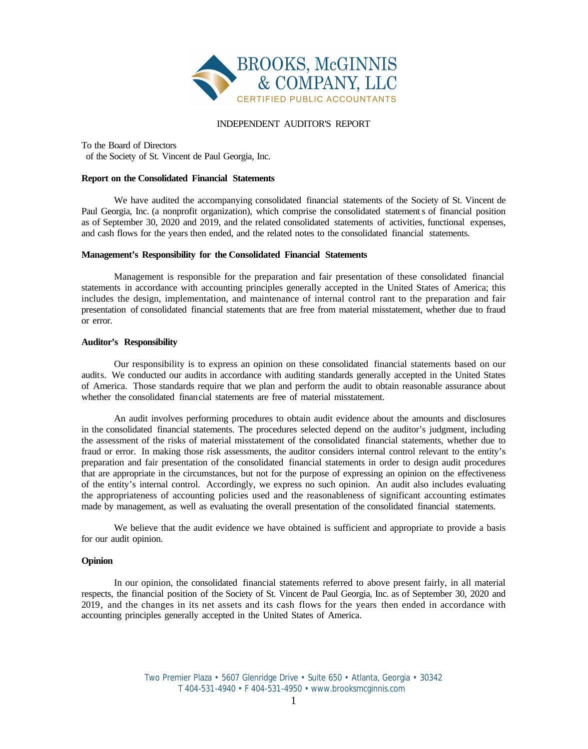

#### INDEPENDENT AUDITOR'S REPORT

To the Board of Directors of the Society of St. Vincent de Paul Georgia, Inc.

#### **Report on the Consolidated Financial Statements**

We have audited the accompanying consolidated financial statements of the Society of St. Vincent de Paul Georgia, Inc. (a nonprofit organization), which comprise the consolidated statements of financial position as of September 30, 2020 and 2019, and the related consolidated statements of activities, functional expenses, and cash flows for the years then ended, and the related notes to the consolidated financial statements.

#### **Management's Responsibility for the Consolidated Financial Statements**

Management is responsible for the preparation and fair presentation of these consolidated financial statements in accordance with accounting principles generally accepted in the United States of America; this includes the design, implementation, and maintenance of internal control rant to the preparation and fair presentation of consolidated financial statements that are free from material misstatement, whether due to fraud or error.

#### **Auditor's Responsibility**

Our responsibility is to express an opinion on these consolidated financial statements based on our audits. We conducted our audits in accordance with auditing standards generally accepted in the United States of America. Those standards require that we plan and perform the audit to obtain reasonable assurance about whether the consolidated financial statements are free of material misstatement.

An audit involves performing procedures to obtain audit evidence about the amounts and disclosures in the consolidated financial statements. The procedures selected depend on the auditor's judgment, including the assessment of the risks of material misstatement of the consolidated financial statements, whether due to fraud or error. In making those risk assessments, the auditor considers internal control relevant to the entity's preparation and fair presentation of the consolidated financial statements in order to design audit procedures that are appropriate in the circumstances, but not for the purpose of expressing an opinion on the effectiveness of the entity's internal control. Accordingly, we express no such opinion. An audit also includes evaluating the appropriateness of accounting policies used and the reasonableness of significant accounting estimates made by management, as well as evaluating the overall presentation of the consolidated financial statements.

We believe that the audit evidence we have obtained is sufficient and appropriate to provide a basis for our audit opinion.

#### **Opinion**

In our opinion, the consolidated financial statements referred to above present fairly, in all material respects, the financial position of the Society of St. Vincent de Paul Georgia, Inc. as of September 30, 2020 and 2019, and the changes in its net assets and its cash flows for the years then ended in accordance with accounting principles generally accepted in the United States of America.

> Two Premier Plaza • 5607 Glenridge Drive • Suite 650 • Atlanta, Georgia • 30342 T 404-531-4940 • F 404-531-4950 • www.brooksmcginnis.com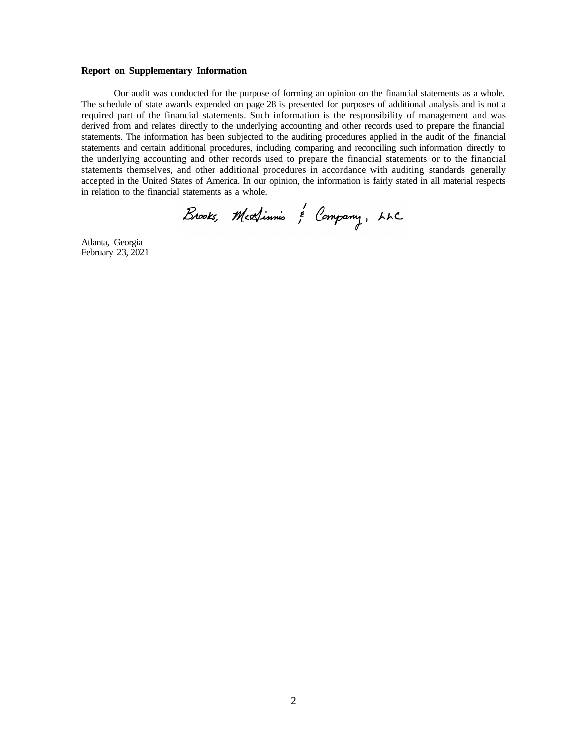#### **Report on Supplementary Information**

Our audit was conducted for the purpose of forming an opinion on the financial statements as a whole. The schedule of state awards expended on page 28 is presented for purposes of additional analysis and is not a required part of the financial statements. Such information is the responsibility of management and was derived from and relates directly to the underlying accounting and other records used to prepare the financial statements. The information has been subjected to the auditing procedures applied in the audit of the financial statements and certain additional procedures, including comparing and reconciling such information directly to the underlying accounting and other records used to prepare the financial statements or to the financial statements themselves, and other additional procedures in accordance with auditing standards generally accepted in the United States of America. In our opinion, the information is fairly stated in all material respects in relation to the financial statements as a whole.

Brooks, Mextinnis & Company, LLC

Atlanta, Georgia February 23, 2021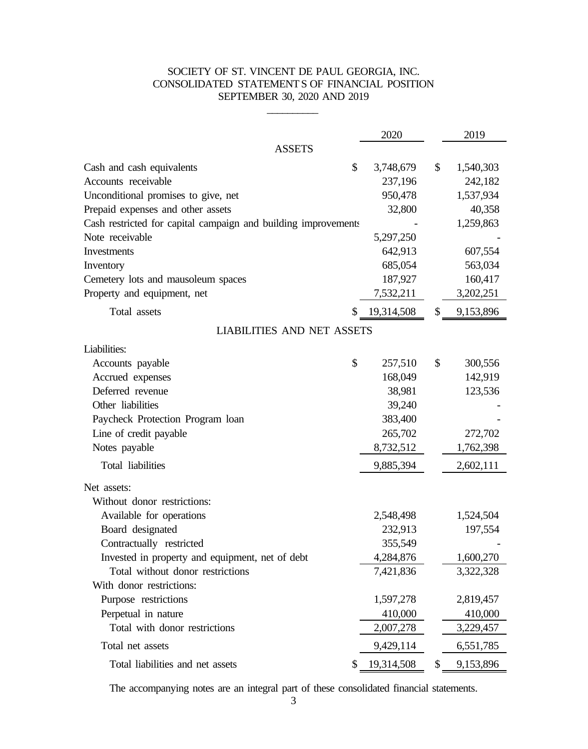# SOCIETY OF ST. VINCENT DE PAUL GEORGIA, INC. CONSOLIDATED STATEMENTS OF FINANCIAL POSITION SEPTEMBER 30, 2020 AND 2019

\_\_\_\_\_\_\_\_\_\_

|                                                                | 2020             | 2019            |
|----------------------------------------------------------------|------------------|-----------------|
| <b>ASSETS</b>                                                  |                  |                 |
| Cash and cash equivalents                                      | \$<br>3,748,679  | \$<br>1,540,303 |
| Accounts receivable                                            | 237,196          | 242,182         |
| Unconditional promises to give, net                            | 950,478          | 1,537,934       |
| Prepaid expenses and other assets                              | 32,800           | 40,358          |
| Cash restricted for capital campaign and building improvements |                  | 1,259,863       |
| Note receivable                                                | 5,297,250        |                 |
| Investments                                                    | 642,913          | 607,554         |
| Inventory                                                      | 685,054          | 563,034         |
| Cemetery lots and mausoleum spaces                             | 187,927          | 160,417         |
| Property and equipment, net                                    | 7,532,211        | 3,202,251       |
| Total assets                                                   | \$<br>19,314,508 | \$<br>9,153,896 |
| <b>LIABILITIES AND NET ASSETS</b>                              |                  |                 |
| Liabilities:                                                   |                  |                 |
| Accounts payable                                               | \$<br>257,510    | \$<br>300,556   |
| Accrued expenses                                               | 168,049          | 142,919         |
| Deferred revenue                                               | 38,981           | 123,536         |
| Other liabilities                                              | 39,240           |                 |
| Paycheck Protection Program loan                               | 383,400          |                 |
| Line of credit payable                                         | 265,702          | 272,702         |
| Notes payable                                                  | 8,732,512        | 1,762,398       |
| Total liabilities                                              | 9,885,394        | 2,602,111       |
| Net assets:                                                    |                  |                 |
| Without donor restrictions:                                    |                  |                 |
| Available for operations                                       | 2,548,498        | 1,524,504       |
| Board designated                                               | 232,913          | 197,554         |
| Contractually restricted                                       | 355,549          |                 |
| Invested in property and equipment, net of debt                | 4,284,876        | 1,600,270       |
| Total without donor restrictions                               | 7,421,836        | 3,322,328       |
| With donor restrictions:                                       |                  |                 |
| Purpose restrictions                                           | 1,597,278        | 2,819,457       |
| Perpetual in nature                                            | 410,000          | 410,000         |
| Total with donor restrictions                                  | 2,007,278        | 3,229,457       |
| Total net assets                                               | 9,429,114        | 6,551,785       |
| Total liabilities and net assets                               | \$<br>19,314,508 | \$<br>9,153,896 |

The accompanying notes are an integral part of these consolidated financial statements.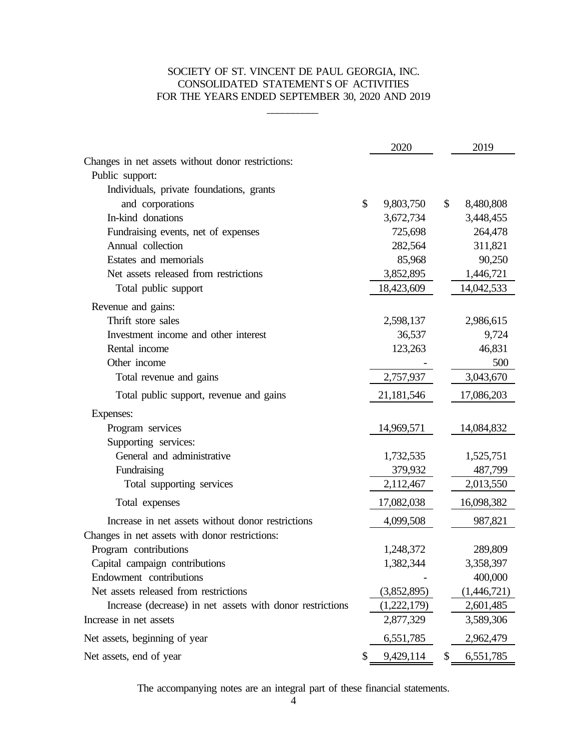# SOCIETY OF ST. VINCENT DE PAUL GEORGIA, INC. CONSOLIDATED STATEMENTS OF ACTIVITIES FOR THE YEARS ENDED SEPTEMBER 30, 2020 AND 2019

\_\_\_\_\_\_\_\_\_\_

|                                                           |    | 2020        |               | 2019        |
|-----------------------------------------------------------|----|-------------|---------------|-------------|
| Changes in net assets without donor restrictions:         |    |             |               |             |
| Public support:                                           |    |             |               |             |
| Individuals, private foundations, grants                  |    |             |               |             |
| and corporations                                          | \$ | 9,803,750   | $\mathcal{S}$ | 8,480,808   |
| In-kind donations                                         |    | 3,672,734   |               | 3,448,455   |
| Fundraising events, net of expenses                       |    | 725,698     |               | 264,478     |
| Annual collection                                         |    | 282,564     |               | 311,821     |
| Estates and memorials                                     |    | 85,968      |               | 90,250      |
| Net assets released from restrictions                     |    | 3,852,895   |               | 1,446,721   |
| Total public support                                      |    | 18,423,609  |               | 14,042,533  |
| Revenue and gains:                                        |    |             |               |             |
| Thrift store sales                                        |    | 2,598,137   |               | 2,986,615   |
| Investment income and other interest                      |    | 36,537      |               | 9,724       |
| Rental income                                             |    | 123,263     |               | 46,831      |
| Other income                                              |    |             |               | 500         |
| Total revenue and gains                                   |    | 2,757,937   |               | 3,043,670   |
| Total public support, revenue and gains                   |    | 21,181,546  |               | 17,086,203  |
| Expenses:                                                 |    |             |               |             |
| Program services                                          |    | 14,969,571  |               | 14,084,832  |
| Supporting services:                                      |    |             |               |             |
| General and administrative                                |    | 1,732,535   |               | 1,525,751   |
| Fundraising                                               |    | 379,932     |               | 487,799     |
| Total supporting services                                 |    | 2,112,467   |               | 2,013,550   |
| Total expenses                                            |    | 17,082,038  |               | 16,098,382  |
| Increase in net assets without donor restrictions         |    | 4,099,508   |               | 987,821     |
| Changes in net assets with donor restrictions:            |    |             |               |             |
| Program contributions                                     |    | 1,248,372   |               | 289,809     |
| Capital campaign contributions                            |    | 1,382,344   |               | 3,358,397   |
| Endowment contributions                                   |    |             |               | 400,000     |
| Net assets released from restrictions                     |    | (3,852,895) |               | (1,446,721) |
| Increase (decrease) in net assets with donor restrictions |    | (1,222,179) |               | 2,601,485   |
| Increase in net assets                                    |    | 2,877,329   |               | 3,589,306   |
| Net assets, beginning of year                             |    | 6,551,785   |               | 2,962,479   |
| Net assets, end of year                                   | S  | 9,429,114   | Ж,            | 6,551,785   |

The accompanying notes are an integral part of these financial statements.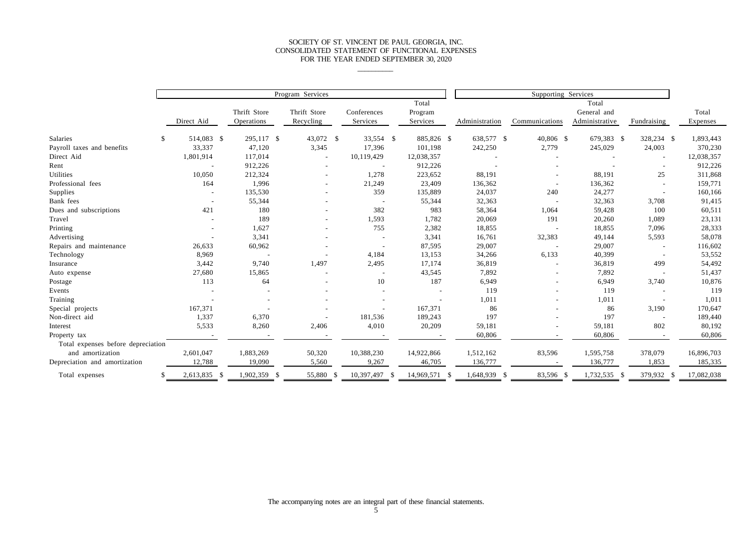## SOCIETY OF ST. VINCENT DE PAUL GEORGIA, INC. CONSOLIDATED STATEMENT OF FUNCTIONAL EXPENSES FOR THE YEAR ENDED SEPTEMBER 30, 2020

 $\overline{\phantom{a}}$ 

|                                    |               |              |              | Program Services |                    |               | Supporting Services |                |                |             |            |
|------------------------------------|---------------|--------------|--------------|------------------|--------------------|---------------|---------------------|----------------|----------------|-------------|------------|
|                                    |               |              |              | Total            |                    |               |                     |                | Total          |             |            |
|                                    |               |              | Thrift Store | Thrift Store     | Conferences        | Program       |                     |                | General and    |             | Total      |
|                                    |               | Direct Aid   | Operations   | Recycling        | Services           | Services      | Administration      | Communications | Administrative | Fundraising | Expenses   |
| Salaries                           | $\mathbb{S}$  | 514,083 \$   | 295,117 \$   | 43,072 \$        | 33,554 \$          | 885,826 \$    | 638,577 \$          | 40,806 \$      | 679,383 \$     | 328,234 \$  | 1,893,443  |
| Payroll taxes and benefits         |               | 33,337       | 47,120       | 3,345            | 17,396             | 101,198       | 242,250             | 2,779          | 245,029        | 24,003      | 370,230    |
| Direct Aid                         |               | 1,801,914    | 117,014      |                  | 10,119,429         | 12,038,357    |                     |                |                |             | 12,038,357 |
| Rent                               |               |              | 912,226      |                  |                    | 912,226       |                     |                |                |             | 912,226    |
| Utilities                          |               | 10,050       | 212,324      |                  | 1,278              | 223,652       | 88,191              |                | 88,191         | 25          | 311,868    |
| Professional fees                  |               | 164          | 1,996        |                  | 21,249             | 23,409        | 136,362             |                | 136,362        |             | 159,771    |
| Supplies                           |               |              | 135,530      |                  | 359                | 135,889       | 24,037              | 240            | 24,277         |             | 160,166    |
| Bank fees                          |               |              | 55,344       |                  |                    | 55,344        | 32,363              |                | 32,363         | 3,708       | 91,415     |
| Dues and subscriptions             |               | 421          | 180          |                  | 382                | 983           | 58,364              | 1,064          | 59,428         | 100         | 60,511     |
| Travel                             |               |              | 189          |                  | 1,593              | 1,782         | 20,069              | 191            | 20,260         | 1,089       | 23,131     |
| Printing                           |               |              | 1,627        |                  | 755                | 2,382         | 18,855              |                | 18,855         | 7,096       | 28,333     |
| Advertising                        |               |              | 3,341        |                  |                    | 3,341         | 16,761              | 32,383         | 49,144         | 5,593       | 58,078     |
| Repairs and maintenance            |               | 26,633       | 60,962       |                  |                    | 87,595        | 29,007              |                | 29,007         |             | 116,602    |
| Technology                         |               | 8,969        |              |                  | 4,184              | 13,153        | 34,266              | 6,133          | 40,399         |             | 53,552     |
| Insurance                          |               | 3,442        | 9,740        | 1,497            | 2,495              | 17,174        | 36,819              |                | 36,819         | 499         | 54,492     |
| Auto expense                       |               | 27,680       | 15,865       |                  |                    | 43,545        | 7,892               |                | 7,892          |             | 51,437     |
| Postage                            |               | 113          | 64           |                  | 10                 | 187           | 6,949               |                | 6,949          | 3,740       | 10,876     |
| Events                             |               |              |              |                  |                    |               | 119                 |                | 119            |             | 119        |
| Training                           |               |              |              |                  |                    |               | 1,011               |                | 1,011          |             | 1,011      |
| Special projects                   |               | 167,371      |              |                  |                    | 167,371       | 86                  |                | 86             | 3,190       | 170,647    |
| Non-direct aid                     |               | 1,337        | 6,370        |                  | 181,536            | 189,243       | 197                 |                | 197            |             | 189,440    |
| Interest                           |               | 5,533        | 8,260        | 2,406            | 4,010              | 20,209        | 59,181              |                | 59,181         | 802         | 80,192     |
| Property tax                       |               |              |              |                  |                    |               | 60,806              |                | 60,806         |             | 60,806     |
| Total expenses before depreciation |               |              |              |                  |                    |               |                     |                |                |             |            |
| and amortization                   |               | 2,601,047    | 1,883,269    | 50,320           | 10,388,230         | 14,922,866    | 1,512,162           | 83,596         | 1,595,758      | 378,079     | 16,896,703 |
| Depreciation and amortization      |               | 12,788       | 19,090       | 5,560            | 9,267              | 46,705        | 136,777             |                | 136,777        | 1,853       | 185,335    |
| Total expenses                     | $\mathcal{S}$ | 2,613,835 \$ | 1,902,359 \$ | 55,880<br>- \$   | 10,397,497<br>- \$ | 14,969,571 \$ | 1,648,939 \$        | 83,596 \$      | 1,732,535 \$   | 379,932 \$  | 17,082,038 |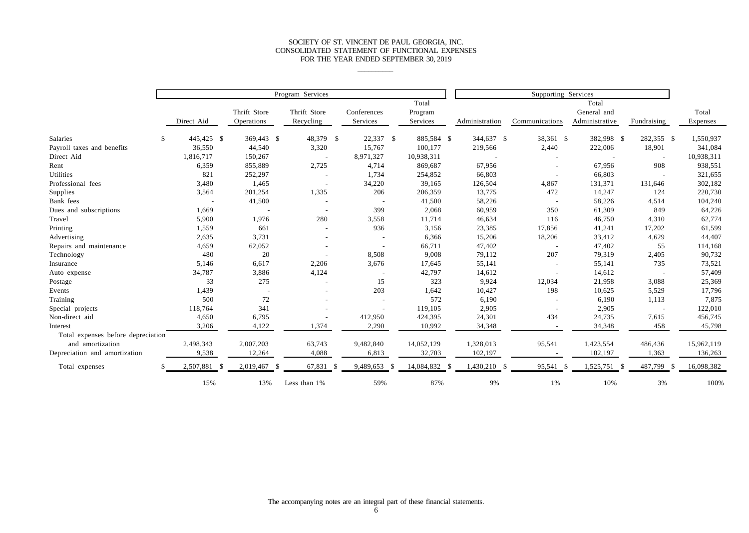## SOCIETY OF ST. VINCENT DE PAUL GEORGIA, INC. CONSOLIDATED STATEMENT OF FUNCTIONAL EXPENSES FOR THE YEAR ENDED SEPTEMBER 30, 2019

 $\overline{\phantom{a}}$ 

|                                    |              |                            |                   | Program Services |                  |               |                |                |                   |               |            |
|------------------------------------|--------------|----------------------------|-------------------|------------------|------------------|---------------|----------------|----------------|-------------------|---------------|------------|
|                                    |              |                            |                   |                  |                  | Total         |                |                | Total             |               |            |
|                                    |              |                            | Thrift Store      | Thrift Store     | Conferences      | Program       |                |                | General and       |               | Total      |
|                                    |              | Direct Aid                 | Operations        | Recycling        | Services         | Services      | Administration | Communications | Administrative    | Fundraising   | Expenses   |
| Salaries                           | $\mathbb{S}$ | 445,425 \$                 | 369,443 \$        | 48,379 \$        | 22,337 \$        | 885,584 \$    | 344,637 \$     | 38,361 \$      | 382,998 \$        | 282,355 \$    | 1,550,937  |
| Payroll taxes and benefits         |              | 36,550                     | 44,540            | 3,320            | 15,767           | 100,177       | 219,566        | 2,440          | 222,006           | 18,901        | 341,084    |
| Direct Aid                         |              | 1,816,717                  | 150,267           |                  | 8,971,327        | 10,938,311    |                |                |                   |               | 10,938,311 |
| Rent                               |              | 6,359                      | 855,889           | 2,725            | 4,714            | 869,687       | 67,956         |                | 67,956            | 908           | 938,551    |
| Utilities                          |              | 821                        | 252,297           |                  | 1,734            | 254,852       | 66,803         |                | 66,803            |               | 321,655    |
| Professional fees                  |              | 3,480                      | 1,465             |                  | 34,220           | 39,165        | 126,504        | 4,867          | 131,371           | 131,646       | 302,182    |
| Supplies                           |              | 3,564                      | 201,254           | 1,335            | 206              | 206,359       | 13,775         | 472            | 14,247            | 124           | 220,730    |
| Bank fees                          |              | $\overline{\phantom{a}}$   | 41,500            |                  |                  | 41,500        | 58,226         |                | 58,226            | 4,514         | 104,240    |
| Dues and subscriptions             |              | 1,669                      |                   |                  | 399              | 2,068         | 60,959         | 350            | 61,309            | 849           | 64,226     |
| Travel                             |              | 5,900                      | 1,976             | 280              | 3,558            | 11,714        | 46,634         | 116            | 46,750            | 4,310         | 62,774     |
| Printing                           |              | 1,559                      | 661               |                  | 936              | 3,156         | 23,385         | 17,856         | 41,241            | 17,202        | 61,599     |
| Advertising                        |              | 2,635                      | 3,731             |                  |                  | 6,366         | 15,206         | 18,206         | 33,412            | 4,629         | 44,407     |
| Repairs and maintenance            |              | 4,659                      | 62,052            |                  |                  | 66,711        | 47,402         |                | 47,402            | 55            | 114,168    |
| Technology                         |              | 480                        | 20                |                  | 8,508            | 9,008         | 79,112         | 207            | 79,319            | 2,405         | 90,732     |
| Insurance                          |              | 5,146                      | 6,617             | 2,206            | 3,676            | 17,645        | 55,141         |                | 55,141            | 735           | 73,521     |
| Auto expense                       |              | 34,787                     | 3,886             | 4,124            |                  | 42,797        | 14,612         |                | 14,612            |               | 57,409     |
| Postage                            |              | 33                         | 275               |                  | 15               | 323           | 9,924          | 12,034         | 21,958            | 3,088         | 25,369     |
| Events                             |              | 1,439                      |                   |                  | 203              | 1,642         | 10,427         | 198            | 10,625            | 5,529         | 17,796     |
| Training                           |              | 500                        | 72                |                  |                  | 572           | 6,190          |                | 6,190             | 1,113         | 7,875      |
| Special projects                   |              | 118,764                    | 341               |                  |                  | 119,105       | 2,905          |                | 2,905             |               | 122,010    |
| Non-direct aid                     |              | 4,650                      | 6,795             |                  | 412,950          | 424,395       | 24,301         | 434            | 24,735            | 7,615         | 456,745    |
| Interest                           |              | 3,206                      | 4,122             | 1,374            | 2,290            | 10,992        | 34,348         |                | 34,348            | 458           | 45,798     |
| Total expenses before depreciation |              |                            |                   |                  |                  |               |                |                |                   |               |            |
| and amortization                   |              | 2,498,343                  | 2,007,203         | 63,743           | 9,482,840        | 14,052,129    | 1,328,013      | 95,541         | 1,423,554         | 486,436       | 15,962,119 |
| Depreciation and amortization      |              | 9,538                      | 12,264            | 4,088            | 6,813            | 32,703        | 102,197        |                | 102,197           | 1,363         | 136,263    |
| Total expenses                     | -S           | 2,507,881<br>$\mathcal{S}$ | 2,019,467<br>- \$ | 67,831 \$        | 9,489,653<br>- S | 14,084,832 \$ | 1,430,210 \$   | 95,541 \$      | 1,525,751<br>- \$ | 487,799<br>-S | 16,098,382 |
|                                    |              | 15%                        | 13%               | Less than 1%     | 59%              | 87%           | 9%             | 1%             | 10%               | 3%            | 100%       |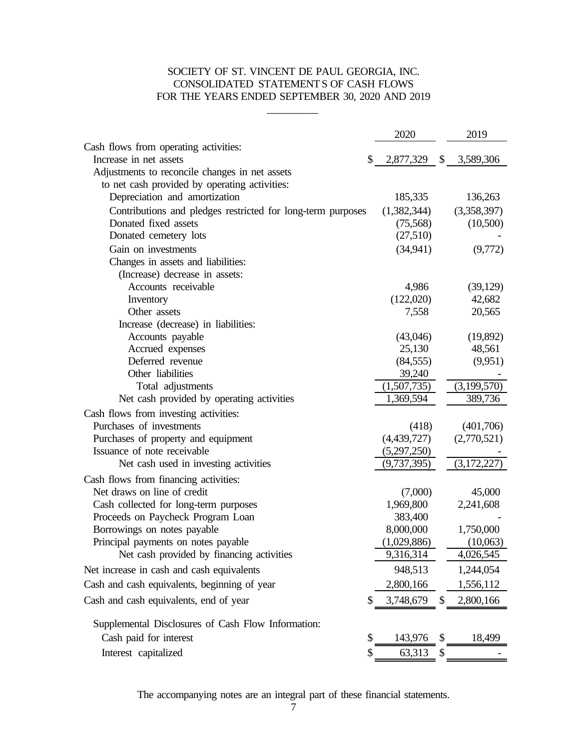# SOCIETY OF ST. VINCENT DE PAUL GEORGIA, INC. CONSOLIDATED STATEMENTS OF CASH FLOWS FOR THE YEARS ENDED SEPTEMBER 30, 2020 AND 2019

\_\_\_\_\_\_\_\_\_\_

|                                                             | 2020               |                           | 2019               |
|-------------------------------------------------------------|--------------------|---------------------------|--------------------|
| Cash flows from operating activities:                       |                    |                           |                    |
| Increase in net assets                                      | \$<br>2,877,329    | $\boldsymbol{\mathsf{S}}$ | 3,589,306          |
| Adjustments to reconcile changes in net assets              |                    |                           |                    |
| to net cash provided by operating activities:               |                    |                           |                    |
| Depreciation and amortization                               | 185,335            |                           | 136,263            |
| Contributions and pledges restricted for long-term purposes | (1,382,344)        |                           | (3,358,397)        |
| Donated fixed assets                                        | (75,568)           |                           | (10,500)           |
| Donated cemetery lots                                       | (27,510)           |                           |                    |
| Gain on investments                                         | (34, 941)          |                           | (9,772)            |
| Changes in assets and liabilities:                          |                    |                           |                    |
| (Increase) decrease in assets:                              |                    |                           |                    |
| Accounts receivable                                         | 4,986              |                           | (39, 129)          |
| Inventory                                                   | (122,020)          |                           | 42,682             |
| Other assets                                                | 7,558              |                           | 20,565             |
| Increase (decrease) in liabilities:                         |                    |                           |                    |
| Accounts payable<br>Accrued expenses                        | (43,046)<br>25,130 |                           | (19,892)<br>48,561 |
| Deferred revenue                                            | (84, 555)          |                           | (9,951)            |
| Other liabilities                                           | 39,240             |                           |                    |
| Total adjustments                                           | (1,507,735)        |                           | (3,199,570)        |
| Net cash provided by operating activities                   | 1,369,594          |                           | 389,736            |
| Cash flows from investing activities:                       |                    |                           |                    |
| Purchases of investments                                    | (418)              |                           | (401,706)          |
| Purchases of property and equipment                         | (4,439,727)        |                           | (2,770,521)        |
| Issuance of note receivable                                 | (5,297,250)        |                           |                    |
| Net cash used in investing activities                       | (9, 737, 395)      |                           | (3, 172, 227)      |
| Cash flows from financing activities:                       |                    |                           |                    |
| Net draws on line of credit                                 | (7,000)            |                           | 45,000             |
| Cash collected for long-term purposes                       | 1,969,800          |                           | 2,241,608          |
| Proceeds on Paycheck Program Loan                           | 383,400            |                           |                    |
| Borrowings on notes payable                                 | 8,000,000          |                           | 1,750,000          |
| Principal payments on notes payable                         | (1,029,886)        |                           | (10,063)           |
| Net cash provided by financing activities                   | 9,316,314          |                           | 4,026,545          |
| Net increase in cash and cash equivalents                   | 948,513            |                           | 1,244,054          |
| Cash and cash equivalents, beginning of year                | 2,800,166          |                           | 1,556,112          |
| Cash and cash equivalents, end of year                      | \$<br>3,748,679    | S                         | 2,800,166          |
|                                                             |                    |                           |                    |
| Supplemental Disclosures of Cash Flow Information:          |                    |                           |                    |
| Cash paid for interest                                      | \$<br>143,976      |                           | 18,499             |
| Interest capitalized                                        | \$<br>63,313       | \$                        |                    |

The accompanying notes are an integral part of these financial statements.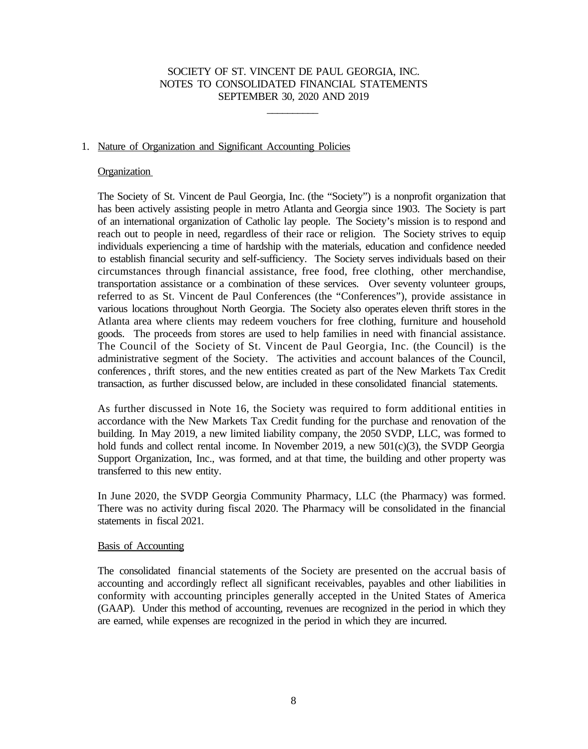\_\_\_\_\_\_\_\_\_\_

#### 1. Nature of Organization and Significant Accounting Policies

#### **Organization**

The Society of St. Vincent de Paul Georgia, Inc. (the "Society") is a nonprofit organization that has been actively assisting people in metro Atlanta and Georgia since 1903. The Society is part of an international organization of Catholic lay people. The Society's mission is to respond and reach out to people in need, regardless of their race or religion. The Society strives to equip individuals experiencing a time of hardship with the materials, education and confidence needed to establish financial security and self-sufficiency. The Society serves individuals based on their circumstances through financial assistance, free food, free clothing, other merchandise, transportation assistance or a combination of these services. Over seventy volunteer groups, referred to as St. Vincent de Paul Conferences (the "Conferences"), provide assistance in various locations throughout North Georgia. The Society also operates eleven thrift stores in the Atlanta area where clients may redeem vouchers for free clothing, furniture and household goods. The proceeds from stores are used to help families in need with financial assistance. The Council of the Society of St. Vincent de Paul Georgia, Inc. (the Council) is the administrative segment of the Society. The activities and account balances of the Council, conferences, thrift stores, and the new entities created as part of the New Markets Tax Credit transaction, as further discussed below, are included in these consolidated financial statements.

As further discussed in Note 16, the Society was required to form additional entities in accordance with the New Markets Tax Credit funding for the purchase and renovation of the building. In May 2019, a new limited liability company, the 2050 SVDP, LLC, was formed to hold funds and collect rental income. In November 2019, a new 501(c)(3), the SVDP Georgia Support Organization, Inc., was formed, and at that time, the building and other property was transferred to this new entity.

In June 2020, the SVDP Georgia Community Pharmacy, LLC (the Pharmacy) was formed. There was no activity during fiscal 2020. The Pharmacy will be consolidated in the financial statements in fiscal 2021.

#### Basis of Accounting

The consolidated financial statements of the Society are presented on the accrual basis of accounting and accordingly reflect all significant receivables, payables and other liabilities in conformity with accounting principles generally accepted in the United States of America (GAAP). Under this method of accounting, revenues are recognized in the period in which they are earned, while expenses are recognized in the period in which they are incurred.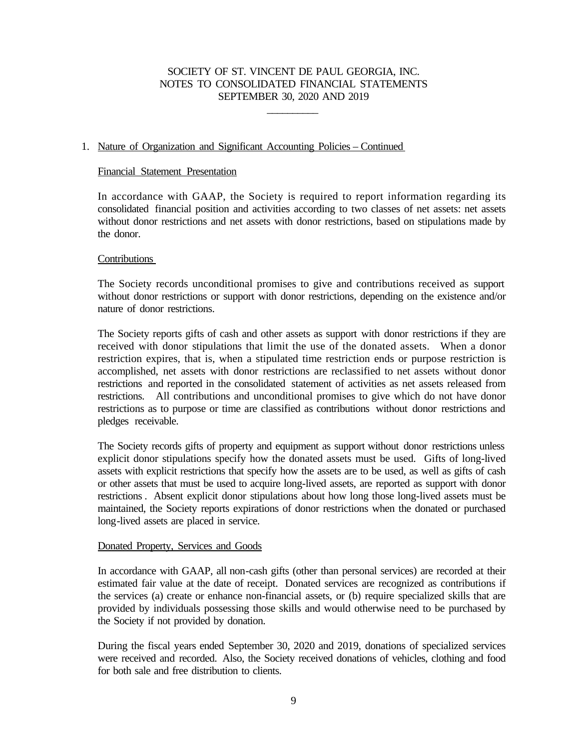\_\_\_\_\_\_\_\_\_\_

### 1. Nature of Organization and Significant Accounting Policies – Continued

#### Financial Statement Presentation

In accordance with GAAP, the Society is required to report information regarding its consolidated financial position and activities according to two classes of net assets: net assets without donor restrictions and net assets with donor restrictions, based on stipulations made by the donor.

#### **Contributions**

The Society records unconditional promises to give and contributions received as support without donor restrictions or support with donor restrictions, depending on the existence and/or nature of donor restrictions.

The Society reports gifts of cash and other assets as support with donor restrictions if they are received with donor stipulations that limit the use of the donated assets. When a donor restriction expires, that is, when a stipulated time restriction ends or purpose restriction is accomplished, net assets with donor restrictions are reclassified to net assets without donor restrictions and reported in the consolidated statement of activities as net assets released from restrictions. All contributions and unconditional promises to give which do not have donor restrictions as to purpose or time are classified as contributions without donor restrictions and pledges receivable.

The Society records gifts of property and equipment as support without donor restrictions unless explicit donor stipulations specify how the donated assets must be used. Gifts of long-lived assets with explicit restrictions that specify how the assets are to be used, as well as gifts of cash or other assets that must be used to acquire long-lived assets, are reported as support with donor restrictions . Absent explicit donor stipulations about how long those long-lived assets must be maintained, the Society reports expirations of donor restrictions when the donated or purchased long-lived assets are placed in service.

### Donated Property, Services and Goods

In accordance with GAAP, all non-cash gifts (other than personal services) are recorded at their estimated fair value at the date of receipt. Donated services are recognized as contributions if the services (a) create or enhance non-financial assets, or (b) require specialized skills that are provided by individuals possessing those skills and would otherwise need to be purchased by the Society if not provided by donation.

During the fiscal years ended September 30, 2020 and 2019, donations of specialized services were received and recorded. Also, the Society received donations of vehicles, clothing and food for both sale and free distribution to clients.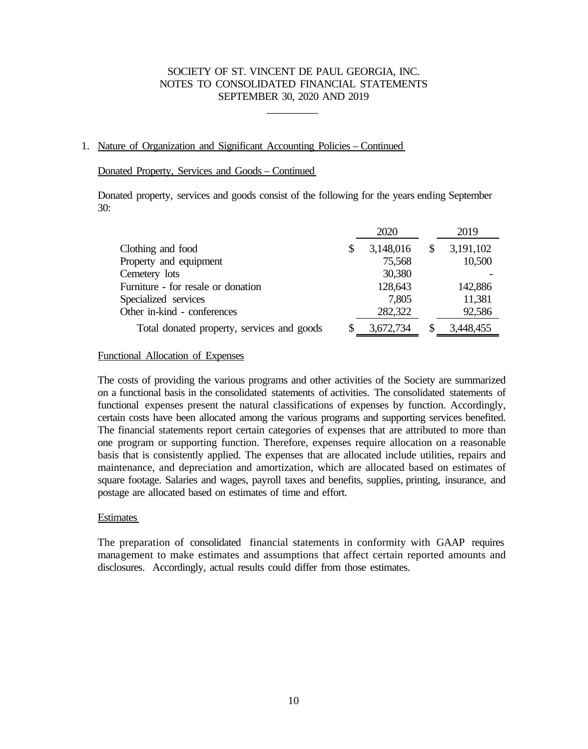\_\_\_\_\_\_\_\_\_\_

### 1. Nature of Organization and Significant Accounting Policies – Continued

### Donated Property, Services and Goods – Continued

Donated property, services and goods consist of the following for the years ending September 30:

|                                            | 2020      | 2019            |
|--------------------------------------------|-----------|-----------------|
| Clothing and food                          | 3,148,016 | \$<br>3,191,102 |
| Property and equipment                     | 75,568    | 10,500          |
| Cemetery lots                              | 30,380    |                 |
| Furniture - for resale or donation         | 128,643   | 142,886         |
| Specialized services                       | 7,805     | 11,381          |
| Other in-kind - conferences                | 282,322   | 92,586          |
| Total donated property, services and goods | 3,672,734 | 3,448,455       |

#### Functional Allocation of Expenses

The costs of providing the various programs and other activities of the Society are summarized on a functional basis in the consolidated statements of activities. The consolidated statements of functional expenses present the natural classifications of expenses by function. Accordingly, certain costs have been allocated among the various programs and supporting services benefited. The financial statements report certain categories of expenses that are attributed to more than one program or supporting function. Therefore, expenses require allocation on a reasonable basis that is consistently applied. The expenses that are allocated include utilities, repairs and maintenance, and depreciation and amortization, which are allocated based on estimates of square footage. Salaries and wages, payroll taxes and benefits, supplies, printing, insurance, and postage are allocated based on estimates of time and effort.

### **Estimates**

The preparation of consolidated financial statements in conformity with GAAP requires management to make estimates and assumptions that affect certain reported amounts and disclosures. Accordingly, actual results could differ from those estimates.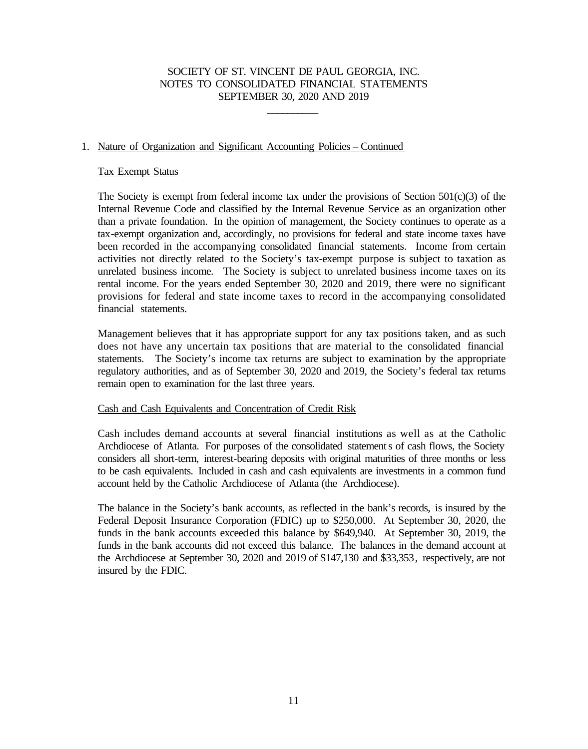\_\_\_\_\_\_\_\_\_\_

### 1. Nature of Organization and Significant Accounting Policies – Continued

#### Tax Exempt Status

The Society is exempt from federal income tax under the provisions of Section  $501(c)(3)$  of the Internal Revenue Code and classified by the Internal Revenue Service as an organization other than a private foundation. In the opinion of management, the Society continues to operate as a tax-exempt organization and, accordingly, no provisions for federal and state income taxes have been recorded in the accompanying consolidated financial statements. Income from certain activities not directly related to the Society's tax-exempt purpose is subject to taxation as unrelated business income. The Society is subject to unrelated business income taxes on its rental income. For the years ended September 30, 2020 and 2019, there were no significant provisions for federal and state income taxes to record in the accompanying consolidated financial statements.

Management believes that it has appropriate support for any tax positions taken, and as such does not have any uncertain tax positions that are material to the consolidated financial statements. The Society's income tax returns are subject to examination by the appropriate regulatory authorities, and as of September 30, 2020 and 2019, the Society's federal tax returns remain open to examination for the last three years.

### Cash and Cash Equivalents and Concentration of Credit Risk

Cash includes demand accounts at several financial institutions as well as at the Catholic Archdiocese of Atlanta. For purposes of the consolidated statements of cash flows, the Society considers all short-term, interest-bearing deposits with original maturities of three months or less to be cash equivalents. Included in cash and cash equivalents are investments in a common fund account held by the Catholic Archdiocese of Atlanta (the Archdiocese).

The balance in the Society's bank accounts, as reflected in the bank's records, is insured by the Federal Deposit Insurance Corporation (FDIC) up to \$250,000. At September 30, 2020, the funds in the bank accounts exceeded this balance by \$649,940. At September 30, 2019, the funds in the bank accounts did not exceed this balance. The balances in the demand account at the Archdiocese at September 30, 2020 and 2019 of \$147,130 and \$33,353, respectively, are not insured by the FDIC.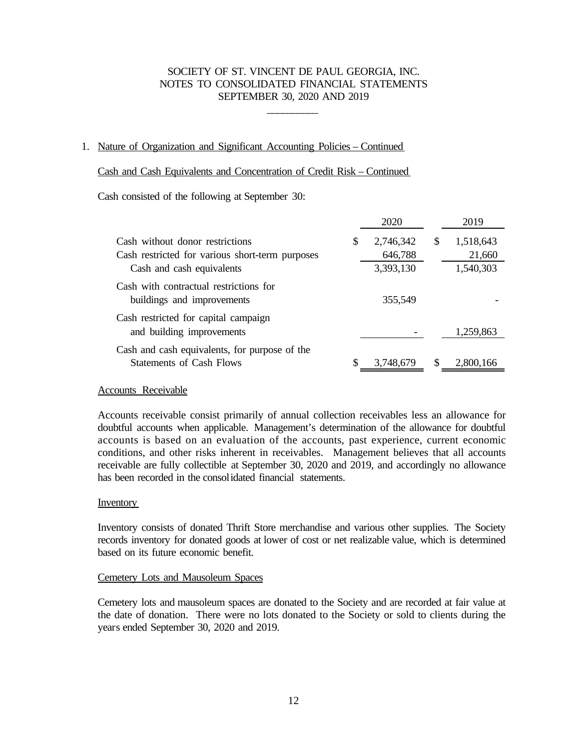\_\_\_\_\_\_\_\_\_\_

## 1. Nature of Organization and Significant Accounting Policies – Continued

Cash and Cash Equivalents and Concentration of Credit Risk – Continued

Cash consisted of the following at September 30:

|                                                                                    |   | 2020                 |              | 2019                |
|------------------------------------------------------------------------------------|---|----------------------|--------------|---------------------|
| Cash without donor restrictions<br>Cash restricted for various short-term purposes | S | 2,746,342<br>646,788 | <sup>S</sup> | 1,518,643<br>21,660 |
| Cash and cash equivalents                                                          |   | 3,393,130            |              | 1,540,303           |
| Cash with contractual restrictions for<br>buildings and improvements               |   | 355,549              |              |                     |
| Cash restricted for capital campaign<br>and building improvements                  |   |                      |              | 1,259,863           |
| Cash and cash equivalents, for purpose of the<br><b>Statements of Cash Flows</b>   |   | 3,748,679            | \$           | 2,800,166           |

### Accounts Receivable

Accounts receivable consist primarily of annual collection receivables less an allowance for doubtful accounts when applicable. Management's determination of the allowance for doubtful accounts is based on an evaluation of the accounts, past experience, current economic conditions, and other risks inherent in receivables. Management believes that all accounts receivable are fully collectible at September 30, 2020 and 2019, and accordingly no allowance has been recorded in the consolidated financial statements.

#### Inventory

Inventory consists of donated Thrift Store merchandise and various other supplies. The Society records inventory for donated goods at lower of cost or net realizable value, which is determined based on its future economic benefit.

#### Cemetery Lots and Mausoleum Spaces

Cemetery lots and mausoleum spaces are donated to the Society and are recorded at fair value at the date of donation. There were no lots donated to the Society or sold to clients during the years ended September 30, 2020 and 2019.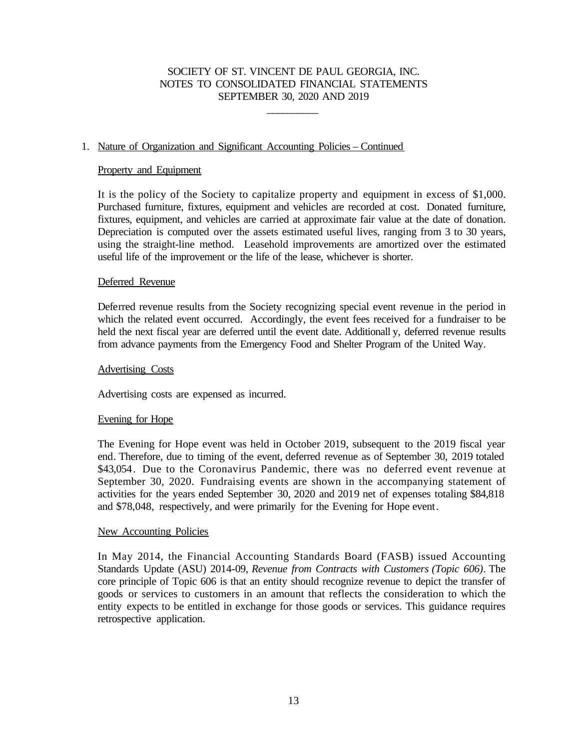\_\_\_\_\_\_\_\_\_\_

### 1. Nature of Organization and Significant Accounting Policies – Continued

### Property and Equipment

It is the policy of the Society to capitalize property and equipment in excess of \$1,000. Purchased furniture, fixtures, equipment and vehicles are recorded at cost. Donated furniture, fixtures, equipment, and vehicles are carried at approximate fair value at the date of donation. Depreciation is computed over the assets estimated useful lives, ranging from 3 to 30 years, using the straight-line method. Leasehold improvements are amortized over the estimated useful life of the improvement or the life of the lease, whichever is shorter.

### Deferred Revenue

Deferred revenue results from the Society recognizing special event revenue in the period in which the related event occurred. Accordingly, the event fees received for a fundraiser to be held the next fiscal year are deferred until the event date. Additionall y, deferred revenue results from advance payments from the Emergency Food and Shelter Program of the United Way.

#### Advertising Costs

Advertising costs are expensed as incurred.

### Evening for Hope

The Evening for Hope event was held in October 2019, subsequent to the 2019 fiscal year end. Therefore, due to timing of the event, deferred revenue as of September 30, 2019 totaled \$43,054. Due to the Coronavirus Pandemic, there was no deferred event revenue at September 30, 2020. Fundraising events are shown in the accompanying statement of activities for the years ended September 30, 2020 and 2019 net of expenses totaling \$84,818 and \$78,048, respectively, and were primarily for the Evening for Hope event.

### New Accounting Policies

In May 2014, the Financial Accounting Standards Board (FASB) issued Accounting Standards Update (ASU) 2014-09, *Revenue from Contracts with Customers (Topic 606)*. The core principle of Topic 606 is that an entity should recognize revenue to depict the transfer of goods or services to customers in an amount that reflects the consideration to which the entity expects to be entitled in exchange for those goods or services. This guidance requires retrospective application.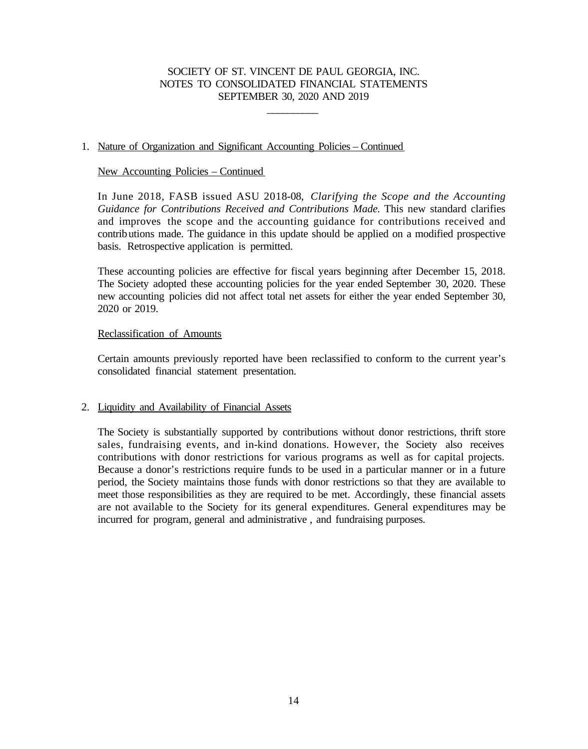\_\_\_\_\_\_\_\_\_\_

### 1. Nature of Organization and Significant Accounting Policies – Continued

### New Accounting Policies – Continued

In June 2018, FASB issued ASU 2018-08, *Clarifying the Scope and the Accounting Guidance for Contributions Received and Contributions Made.* This new standard clarifies and improves the scope and the accounting guidance for contributions received and contributions made. The guidance in this update should be applied on a modified prospective basis. Retrospective application is permitted.

These accounting policies are effective for fiscal years beginning after December 15, 2018. The Society adopted these accounting policies for the year ended September 30, 2020. These new accounting policies did not affect total net assets for either the year ended September 30, 2020 or 2019.

### Reclassification of Amounts

Certain amounts previously reported have been reclassified to conform to the current year's consolidated financial statement presentation.

### 2. Liquidity and Availability of Financial Assets

The Society is substantially supported by contributions without donor restrictions, thrift store sales, fundraising events, and in-kind donations. However, the Society also receives contributions with donor restrictions for various programs as well as for capital projects. Because a donor's restrictions require funds to be used in a particular manner or in a future period, the Society maintains those funds with donor restrictions so that they are available to meet those responsibilities as they are required to be met. Accordingly, these financial assets are not available to the Society for its general expenditures. General expenditures may be incurred for program, general and administrative , and fundraising purposes.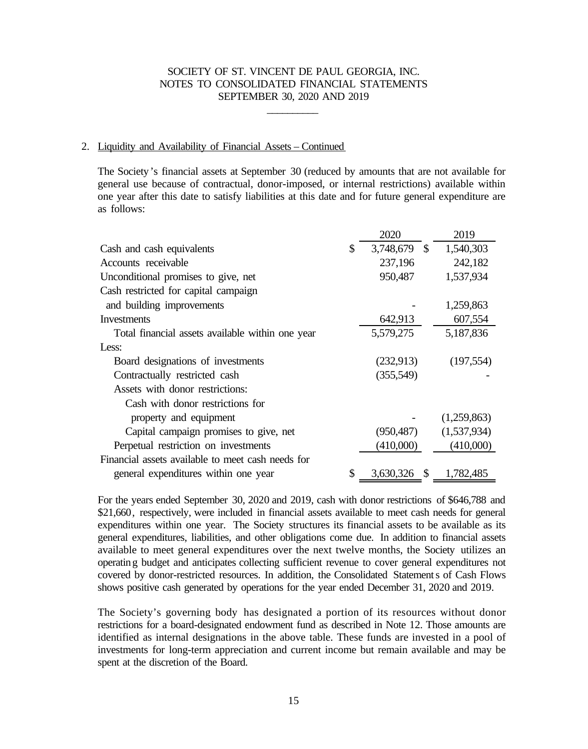\_\_\_\_\_\_\_\_\_\_

#### 2. Liquidity and Availability of Financial Assets – Continued

The Society's financial assets at September 30 (reduced by amounts that are not available for general use because of contractual, donor-imposed, or internal restrictions) available within one year after this date to satisfy liabilities at this date and for future general expenditure are as follows:

|                                                   | 2020                             | 2019        |
|---------------------------------------------------|----------------------------------|-------------|
| Cash and cash equivalents                         | \$<br>3,748,679 \$               | 1,540,303   |
| Accounts receivable                               | 237,196                          | 242,182     |
| Unconditional promises to give, net               | 950,487                          | 1,537,934   |
| Cash restricted for capital campaign              |                                  |             |
| and building improvements                         |                                  | 1,259,863   |
| Investments                                       | 642,913                          | 607,554     |
| Total financial assets available within one year  | 5,579,275                        | 5,187,836   |
| Less:                                             |                                  |             |
| Board designations of investments                 | (232,913)                        | (197, 554)  |
| Contractually restricted cash                     | (355,549)                        |             |
| Assets with donor restrictions:                   |                                  |             |
| Cash with donor restrictions for                  |                                  |             |
| property and equipment                            |                                  | (1,259,863) |
| Capital campaign promises to give, net            | (950, 487)                       | (1,537,934) |
| Perpetual restriction on investments              | (410,000)                        | (410,000)   |
| Financial assets available to meet cash needs for |                                  |             |
| general expenditures within one year              | \$<br>3,630,326<br>$\mathcal{S}$ | 1,782,485   |

For the years ended September 30, 2020 and 2019, cash with donor restrictions of \$646,788 and \$21,660, respectively, were included in financial assets available to meet cash needs for general expenditures within one year. The Society structures its financial assets to be available as its general expenditures, liabilities, and other obligations come due. In addition to financial assets available to meet general expenditures over the next twelve months, the Society utilizes an operating budget and anticipates collecting sufficient revenue to cover general expenditures not covered by donor-restricted resources. In addition, the Consolidated Statements of Cash Flows shows positive cash generated by operations for the year ended December 31, 2020 and 2019.

The Society's governing body has designated a portion of its resources without donor restrictions for a board-designated endowment fund as described in Note 12. Those amounts are identified as internal designations in the above table. These funds are invested in a pool of investments for long-term appreciation and current income but remain available and may be spent at the discretion of the Board.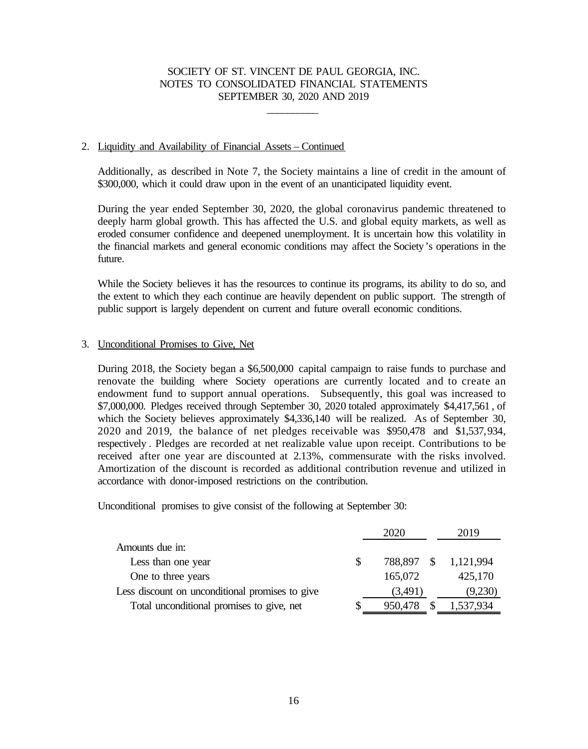\_\_\_\_\_\_\_\_\_\_

#### 2. Liquidity and Availability of Financial Assets – Continued

Additionally, as described in Note 7, the Society maintains a line of credit in the amount of \$300,000, which it could draw upon in the event of an unanticipated liquidity event.

During the year ended September 30, 2020, the global coronavirus pandemic threatened to deeply harm global growth. This has affected the U.S. and global equity markets, as well as eroded consumer confidence and deepened unemployment. It is uncertain how this volatility in the financial markets and general economic conditions may affect the Society's operations in the future.

While the Society believes it has the resources to continue its programs, its ability to do so, and the extent to which they each continue are heavily dependent on public support. The strength of public support is largely dependent on current and future overall economic conditions.

#### 3. Unconditional Promises to Give, Net

During 2018, the Society began a \$6,500,000 capital campaign to raise funds to purchase and renovate the building where Society operations are currently located and to create an endowment fund to support annual operations. Subsequently, this goal was increased to \$7,000,000. Pledges received through September 30, 2020 totaled approximately \$4,417,561 , of which the Society believes approximately \$4,336,140 will be realized. As of September 30, 2020 and 2019, the balance of net pledges receivable was \$950,478 and \$1,537,934, respectively . Pledges are recorded at net realizable value upon receipt. Contributions to be received after one year are discounted at 2.13%, commensurate with the risks involved. Amortization of the discount is recorded as additional contribution revenue and utilized in accordance with donor-imposed restrictions on the contribution.

Unconditional promises to give consist of the following at September 30:

|                                                 | 2020       | 2019      |
|-------------------------------------------------|------------|-----------|
| Amounts due in:                                 |            |           |
| Less than one year                              | 788,897 \$ | 1,121,994 |
| One to three years                              | 165,072    | 425,170   |
| Less discount on unconditional promises to give | (3,491)    | (9,230)   |
| Total unconditional promises to give, net       | 950,478    | 1,537,934 |
|                                                 |            |           |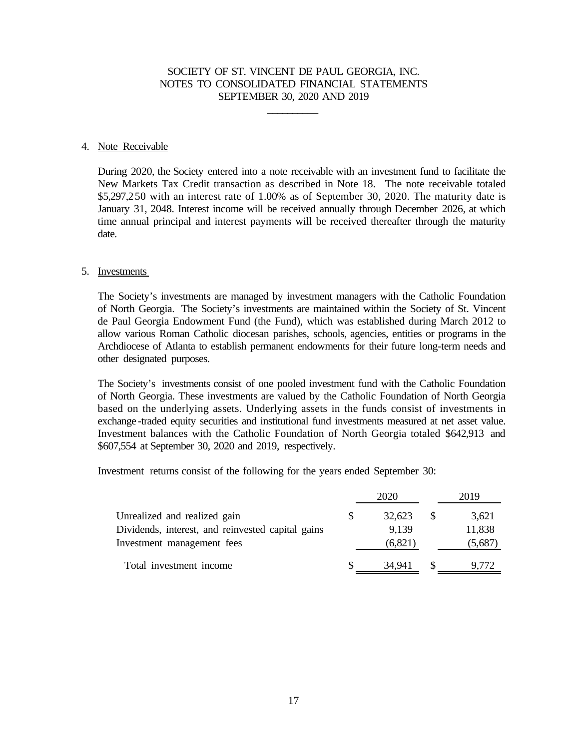\_\_\_\_\_\_\_\_\_\_

#### 4. Note Receivable

During 2020, the Society entered into a note receivable with an investment fund to facilitate the New Markets Tax Credit transaction as described in Note 18. The note receivable totaled \$5,297,250 with an interest rate of 1.00% as of September 30, 2020. The maturity date is January 31, 2048. Interest income will be received annually through December 2026, at which time annual principal and interest payments will be received thereafter through the maturity date.

### 5. Investments

The Society's investments are managed by investment managers with the Catholic Foundation of North Georgia. The Society's investments are maintained within the Society of St. Vincent de Paul Georgia Endowment Fund (the Fund), which was established during March 2012 to allow various Roman Catholic diocesan parishes, schools, agencies, entities or programs in the Archdiocese of Atlanta to establish permanent endowments for their future long-term needs and other designated purposes.

The Society's investments consist of one pooled investment fund with the Catholic Foundation of North Georgia. These investments are valued by the Catholic Foundation of North Georgia based on the underlying assets. Underlying assets in the funds consist of investments in exchange -traded equity securities and institutional fund investments measured at net asset value. Investment balances with the Catholic Foundation of North Georgia totaled \$642,913 and \$607,554 at September 30, 2020 and 2019, respectively.

Investment returns consist of the following for the years ended September 30:

|                                                                                   | 2020            | 2019            |  |
|-----------------------------------------------------------------------------------|-----------------|-----------------|--|
| Unrealized and realized gain<br>Dividends, interest, and reinvested capital gains | 32,623<br>9.139 | 3,621<br>11,838 |  |
| Investment management fees                                                        | (6,821)         | (5,687)         |  |
| Total investment income                                                           | 34,941          | 9,772           |  |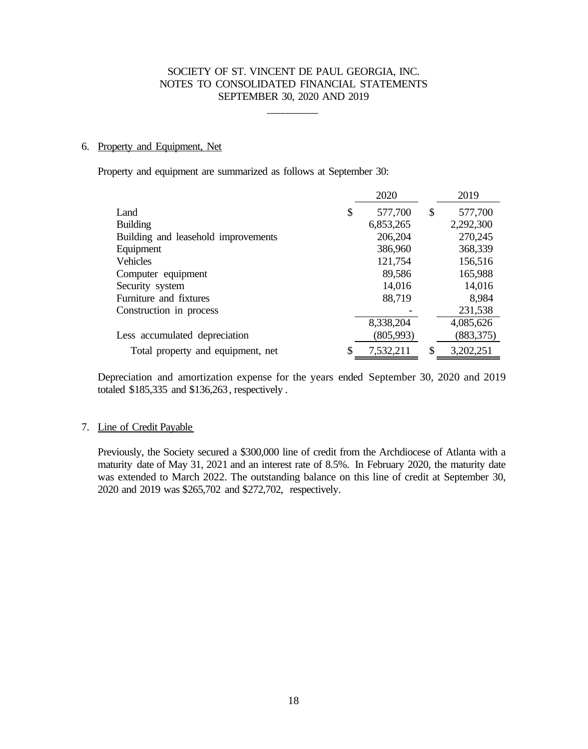\_\_\_\_\_\_\_\_\_\_

### 6. Property and Equipment, Net

Property and equipment are summarized as follows at September 30:

|                                     | 2020            |    | 2019       |
|-------------------------------------|-----------------|----|------------|
| Land                                | \$<br>577,700   | \$ | 577,700    |
| <b>Building</b>                     | 6,853,265       |    | 2,292,300  |
| Building and leasehold improvements | 206,204         |    | 270,245    |
| Equipment                           | 386,960         |    | 368,339    |
| <b>Vehicles</b>                     | 121,754         |    | 156,516    |
| Computer equipment                  | 89,586          |    | 165,988    |
| Security system                     | 14,016          |    | 14,016     |
| Furniture and fixtures              | 88,719          |    | 8,984      |
| Construction in process             |                 |    | 231,538    |
|                                     | 8,338,204       |    | 4,085,626  |
| Less accumulated depreciation       | (805,993)       |    | (883, 375) |
| Total property and equipment, net   | \$<br>7,532,211 | S  | 3,202,251  |

Depreciation and amortization expense for the years ended September 30, 2020 and 2019 totaled \$185,335 and \$136,263, respectively .

### 7. Line of Credit Payable

Previously, the Society secured a \$300,000 line of credit from the Archdiocese of Atlanta with a maturity date of May 31, 2021 and an interest rate of 8.5%. In February 2020, the maturity date was extended to March 2022. The outstanding balance on this line of credit at September 30, 2020 and 2019 was \$265,702 and \$272,702, respectively.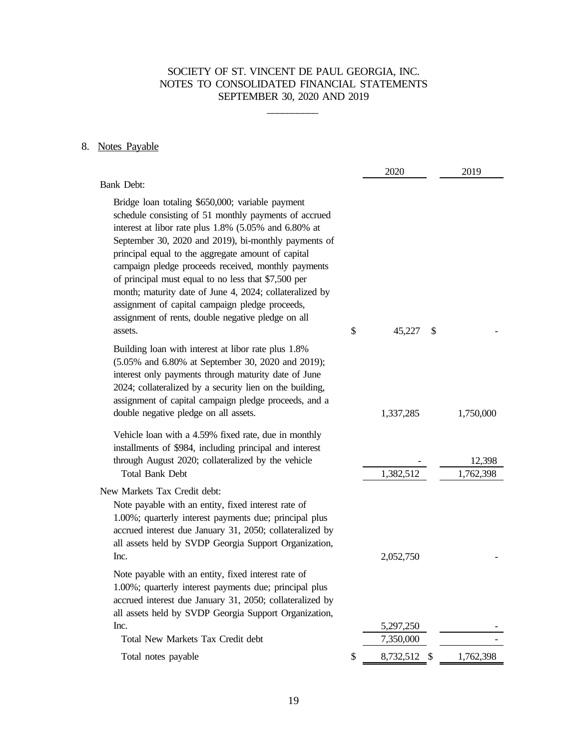\_\_\_\_\_\_\_\_\_\_

# 8. Notes Payable

|                                                                                                                                                                                                                                                                                                                                                                                                                                                                                                                                                                              | 2020            |    | 2019                |
|------------------------------------------------------------------------------------------------------------------------------------------------------------------------------------------------------------------------------------------------------------------------------------------------------------------------------------------------------------------------------------------------------------------------------------------------------------------------------------------------------------------------------------------------------------------------------|-----------------|----|---------------------|
| <b>Bank Debt:</b>                                                                                                                                                                                                                                                                                                                                                                                                                                                                                                                                                            |                 |    |                     |
| Bridge loan totaling \$650,000; variable payment<br>schedule consisting of 51 monthly payments of accrued<br>interest at libor rate plus 1.8% (5.05% and 6.80% at<br>September 30, 2020 and 2019), bi-monthly payments of<br>principal equal to the aggregate amount of capital<br>campaign pledge proceeds received, monthly payments<br>of principal must equal to no less that \$7,500 per<br>month; maturity date of June 4, 2024; collateralized by<br>assignment of capital campaign pledge proceeds,<br>assignment of rents, double negative pledge on all<br>assets. | \$<br>45,227    | \$ |                     |
| Building loan with interest at libor rate plus 1.8%<br>(5.05% and 6.80% at September 30, 2020 and 2019);<br>interest only payments through maturity date of June<br>2024; collateralized by a security lien on the building,<br>assignment of capital campaign pledge proceeds, and a<br>double negative pledge on all assets.                                                                                                                                                                                                                                               | 1,337,285       |    | 1,750,000           |
| Vehicle loan with a 4.59% fixed rate, due in monthly<br>installments of \$984, including principal and interest<br>through August 2020; collateralized by the vehicle<br><b>Total Bank Debt</b>                                                                                                                                                                                                                                                                                                                                                                              | 1,382,512       |    | 12,398<br>1,762,398 |
| New Markets Tax Credit debt:                                                                                                                                                                                                                                                                                                                                                                                                                                                                                                                                                 |                 |    |                     |
| Note payable with an entity, fixed interest rate of<br>1.00%; quarterly interest payments due; principal plus<br>accrued interest due January 31, 2050; collateralized by<br>all assets held by SVDP Georgia Support Organization,<br>Inc.                                                                                                                                                                                                                                                                                                                                   | 2,052,750       |    |                     |
| Note payable with an entity, fixed interest rate of<br>1.00%; quarterly interest payments due; principal plus<br>accrued interest due January 31, 2050; collateralized by<br>all assets held by SVDP Georgia Support Organization,<br>Inc.                                                                                                                                                                                                                                                                                                                                   | 5,297,250       |    |                     |
| Total New Markets Tax Credit debt                                                                                                                                                                                                                                                                                                                                                                                                                                                                                                                                            | 7,350,000       |    |                     |
| Total notes payable                                                                                                                                                                                                                                                                                                                                                                                                                                                                                                                                                          | \$<br>8,732,512 | SБ | 1,762,398           |
|                                                                                                                                                                                                                                                                                                                                                                                                                                                                                                                                                                              |                 |    |                     |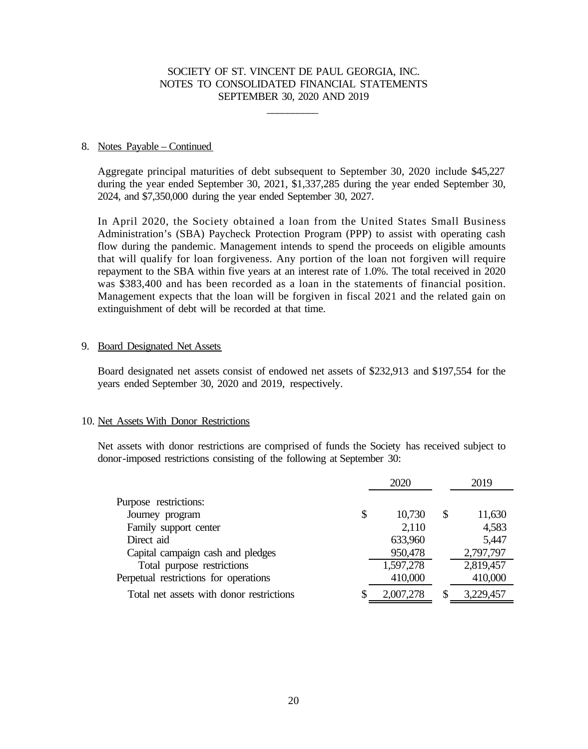\_\_\_\_\_\_\_\_\_\_

#### 8. Notes Payable – Continued

Aggregate principal maturities of debt subsequent to September 30, 2020 include \$45,227 during the year ended September 30, 2021, \$1,337,285 during the year ended September 30, 2024, and \$7,350,000 during the year ended September 30, 2027.

In April 2020, the Society obtained a loan from the United States Small Business Administration's (SBA) Paycheck Protection Program (PPP) to assist with operating cash flow during the pandemic. Management intends to spend the proceeds on eligible amounts that will qualify for loan forgiveness. Any portion of the loan not forgiven will require repayment to the SBA within five years at an interest rate of 1.0%. The total received in 2020 was \$383,400 and has been recorded as a loan in the statements of financial position. Management expects that the loan will be forgiven in fiscal 2021 and the related gain on extinguishment of debt will be recorded at that time.

#### 9. Board Designated Net Assets

Board designated net assets consist of endowed net assets of \$232,913 and \$197,554 for the years ended September 30, 2020 and 2019, respectively.

### 10. Net Assets With Donor Restrictions

Net assets with donor restrictions are comprised of funds the Society has received subject to donor-imposed restrictions consisting of the following at September 30:

|                                          | 2020         | 2019         |
|------------------------------------------|--------------|--------------|
| Purpose restrictions:                    |              |              |
| Journey program                          | \$<br>10,730 | \$<br>11,630 |
| Family support center                    | 2,110        | 4,583        |
| Direct aid                               | 633,960      | 5,447        |
| Capital campaign cash and pledges        | 950,478      | 2,797,797    |
| Total purpose restrictions               | 1,597,278    | 2,819,457    |
| Perpetual restrictions for operations    | 410,000      | 410,000      |
| Total net assets with donor restrictions | 2,007,278    | 3,229,457    |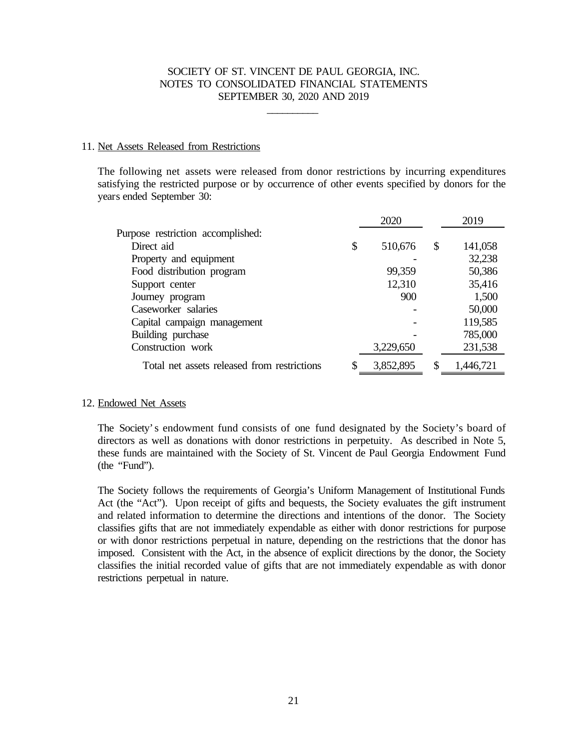\_\_\_\_\_\_\_\_\_\_

#### 11. Net Assets Released from Restrictions

The following net assets were released from donor restrictions by incurring expenditures satisfying the restricted purpose or by occurrence of other events specified by donors for the years ended September 30:

|                                             | 2020          |    | 2019      |
|---------------------------------------------|---------------|----|-----------|
| Purpose restriction accomplished:           |               |    |           |
| Direct aid                                  | \$<br>510,676 | \$ | 141,058   |
| Property and equipment                      |               |    | 32,238    |
| Food distribution program                   | 99,359        |    | 50,386    |
| Support center                              | 12,310        |    | 35,416    |
| Journey program                             | 900           |    | 1,500     |
| Caseworker salaries                         |               |    | 50,000    |
| Capital campaign management                 |               |    | 119,585   |
| Building purchase                           |               |    | 785,000   |
| Construction work                           | 3,229,650     |    | 231,538   |
| Total net assets released from restrictions | 3,852,895     | S  | 1,446,721 |

### 12. Endowed Net Assets

The Society's endowment fund consists of one fund designated by the Society's board of directors as well as donations with donor restrictions in perpetuity. As described in Note 5, these funds are maintained with the Society of St. Vincent de Paul Georgia Endowment Fund (the "Fund").

The Society follows the requirements of Georgia's Uniform Management of Institutional Funds Act (the "Act"). Upon receipt of gifts and bequests, the Society evaluates the gift instrument and related information to determine the directions and intentions of the donor. The Society classifies gifts that are not immediately expendable as either with donor restrictions for purpose or with donor restrictions perpetual in nature, depending on the restrictions that the donor has imposed. Consistent with the Act, in the absence of explicit directions by the donor, the Society classifies the initial recorded value of gifts that are not immediately expendable as with donor restrictions perpetual in nature.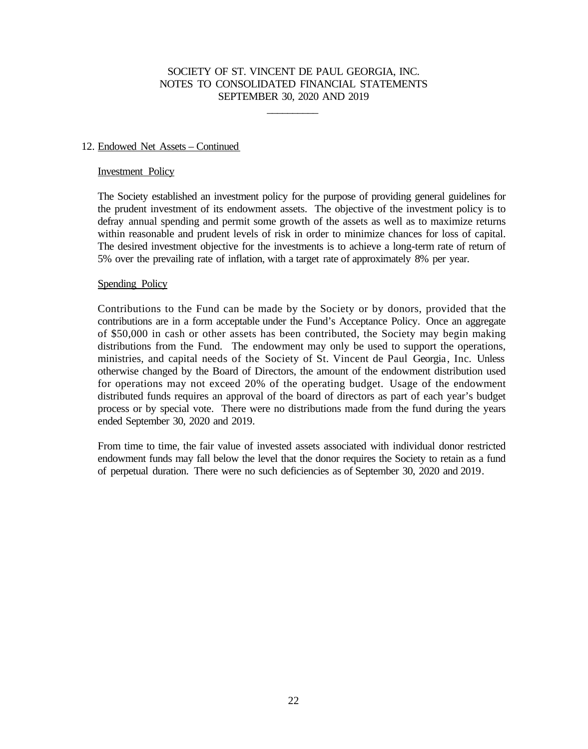\_\_\_\_\_\_\_\_\_\_

#### 12. Endowed Net Assets – Continued

#### Investment Policy

The Society established an investment policy for the purpose of providing general guidelines for the prudent investment of its endowment assets. The objective of the investment policy is to defray annual spending and permit some growth of the assets as well as to maximize returns within reasonable and prudent levels of risk in order to minimize chances for loss of capital. The desired investment objective for the investments is to achieve a long-term rate of return of 5% over the prevailing rate of inflation, with a target rate of approximately 8% per year.

#### Spending Policy

Contributions to the Fund can be made by the Society or by donors, provided that the contributions are in a form acceptable under the Fund's Acceptance Policy. Once an aggregate of \$50,000 in cash or other assets has been contributed, the Society may begin making distributions from the Fund. The endowment may only be used to support the operations, ministries, and capital needs of the Society of St. Vincent de Paul Georgia, Inc. Unless otherwise changed by the Board of Directors, the amount of the endowment distribution used for operations may not exceed 20% of the operating budget. Usage of the endowment distributed funds requires an approval of the board of directors as part of each year's budget process or by special vote. There were no distributions made from the fund during the years ended September 30, 2020 and 2019.

From time to time, the fair value of invested assets associated with individual donor restricted endowment funds may fall below the level that the donor requires the Society to retain as a fund of perpetual duration. There were no such deficiencies as of September 30, 2020 and 2019.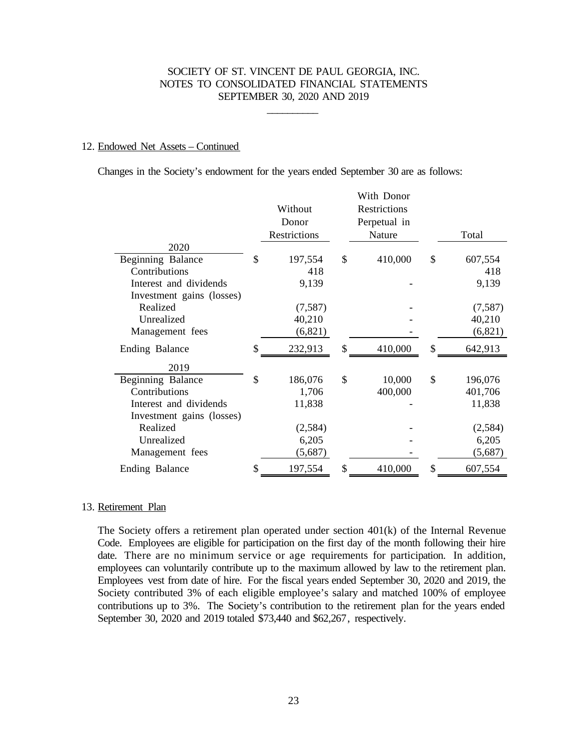\_\_\_\_\_\_\_\_\_\_

#### 12. Endowed Net Assets – Continued

Changes in the Society's endowment for the years ended September 30 are as follows:

|                           |                     | With Donor    |               |
|---------------------------|---------------------|---------------|---------------|
|                           | Without             | Restrictions  |               |
|                           | Donor               | Perpetual in  |               |
|                           | <b>Restrictions</b> | Nature        | Total         |
| 2020                      |                     |               |               |
| Beginning Balance         | \$<br>197,554       | \$<br>410,000 | \$<br>607,554 |
| Contributions             | 418                 |               | 418           |
| Interest and dividends    | 9,139               |               | 9,139         |
| Investment gains (losses) |                     |               |               |
| Realized                  | (7,587)             |               | (7,587)       |
| Unrealized                | 40,210              |               | 40,210        |
| Management fees           | (6,821)             |               | (6,821)       |
| Ending Balance            | \$<br>232,913       | \$<br>410,000 | \$<br>642,913 |
| 2019                      |                     |               |               |
| Beginning Balance         | \$<br>186,076       | \$<br>10,000  | \$<br>196,076 |
| Contributions             | 1,706               | 400,000       | 401,706       |
| Interest and dividends    | 11,838              |               | 11,838        |
| Investment gains (losses) |                     |               |               |
| Realized                  | (2,584)             |               | (2,584)       |
| Unrealized                | 6,205               |               | 6,205         |
| Management fees           | (5,687)             |               | (5,687)       |
| Ending Balance            | \$<br>197,554       | \$<br>410,000 | \$<br>607,554 |

### 13. Retirement Plan

The Society offers a retirement plan operated under section 401(k) of the Internal Revenue Code. Employees are eligible for participation on the first day of the month following their hire date. There are no minimum service or age requirements for participation. In addition, employees can voluntarily contribute up to the maximum allowed by law to the retirement plan. Employees vest from date of hire. For the fiscal years ended September 30, 2020 and 2019, the Society contributed 3% of each eligible employee's salary and matched 100% of employee contributions up to 3%. The Society's contribution to the retirement plan for the years ended September 30, 2020 and 2019 totaled \$73,440 and \$62,267, respectively.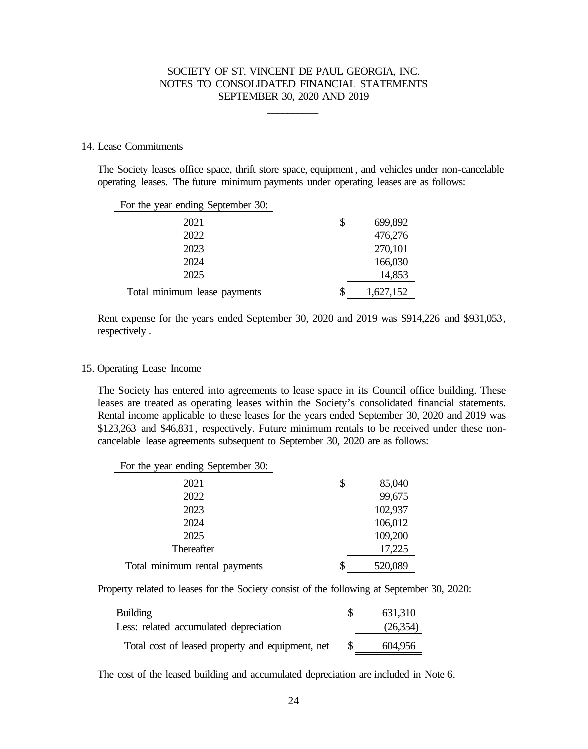\_\_\_\_\_\_\_\_\_\_

#### 14. Lease Commitments

The Society leases office space, thrift store space, equipment , and vehicles under non-cancelable operating leases. The future minimum payments under operating leases are as follows:

| For the year ending September 30: |    |           |
|-----------------------------------|----|-----------|
| 2021                              | \$ | 699,892   |
| 2022                              |    | 476,276   |
| 2023                              |    | 270,101   |
| 2024                              |    | 166,030   |
| 2025                              |    | 14,853    |
| Total minimum lease payments      | S  | 1,627,152 |

Rent expense for the years ended September 30, 2020 and 2019 was \$914,226 and \$931,053, respectively .

#### 15. Operating Lease Income

The Society has entered into agreements to lease space in its Council office building. These leases are treated as operating leases within the Society's consolidated financial statements. Rental income applicable to these leases for the years ended September 30, 2020 and 2019 was \$123,263 and \$46,831, respectively. Future minimum rentals to be received under these noncancelable lease agreements subsequent to September 30, 2020 are as follows:

| For the year ending September 30: |               |
|-----------------------------------|---------------|
| 2021                              | \$<br>85,040  |
| 2022                              | 99,675        |
| 2023                              | 102,937       |
| 2024                              | 106,012       |
| 2025                              | 109,200       |
| Thereafter                        | 17,225        |
| Total minimum rental payments     | \$<br>520,089 |

Property related to leases for the Society consist of the following at September 30, 2020:

| <b>Building</b>                                  | 631,310  |
|--------------------------------------------------|----------|
| Less: related accumulated depreciation           | (26,354) |
| Total cost of leased property and equipment, net | 604,956  |

The cost of the leased building and accumulated depreciation are included in Note 6.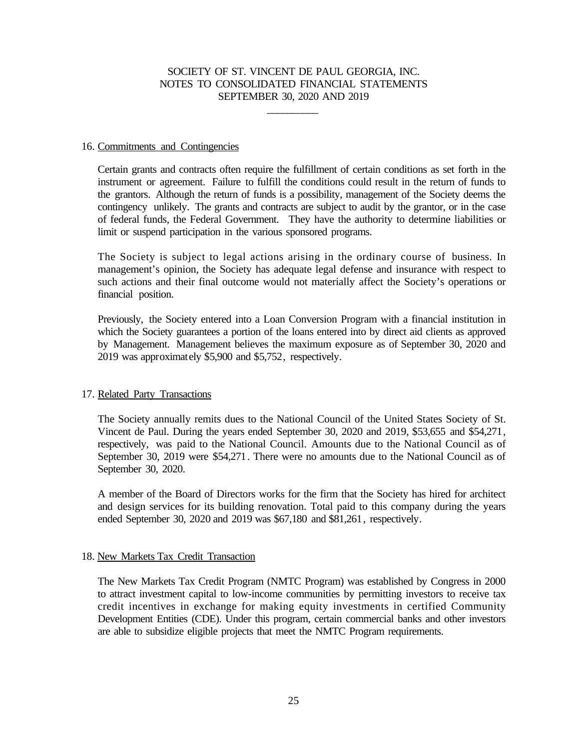\_\_\_\_\_\_\_\_\_\_

#### 16. Commitments and Contingencies

Certain grants and contracts often require the fulfillment of certain conditions as set forth in the instrument or agreement. Failure to fulfill the conditions could result in the return of funds to the grantors. Although the return of funds is a possibility, management of the Society deems the contingency unlikely. The grants and contracts are subject to audit by the grantor, or in the case of federal funds, the Federal Government. They have the authority to determine liabilities or limit or suspend participation in the various sponsored programs.

The Society is subject to legal actions arising in the ordinary course of business. In management's opinion, the Society has adequate legal defense and insurance with respect to such actions and their final outcome would not materially affect the Society's operations or financial position.

Previously, the Society entered into a Loan Conversion Program with a financial institution in which the Society guarantees a portion of the loans entered into by direct aid clients as approved by Management. Management believes the maximum exposure as of September 30, 2020 and 2019 was approximately \$5,900 and \$5,752, respectively.

### 17. Related Party Transactions

The Society annually remits dues to the National Council of the United States Society of St. Vincent de Paul. During the years ended September 30, 2020 and 2019, \$53,655 and \$54,271, respectively, was paid to the National Council. Amounts due to the National Council as of September 30, 2019 were \$54,271. There were no amounts due to the National Council as of September 30, 2020.

A member of the Board of Directors works for the firm that the Society has hired for architect and design services for its building renovation. Total paid to this company during the years ended September 30, 2020 and 2019 was \$67,180 and \$81,261, respectively.

### 18. New Markets Tax Credit Transaction

The New Markets Tax Credit Program (NMTC Program) was established by Congress in 2000 to attract investment capital to low-income communities by permitting investors to receive tax credit incentives in exchange for making equity investments in certified Community Development Entities (CDE). Under this program, certain commercial banks and other investors are able to subsidize eligible projects that meet the NMTC Program requirements.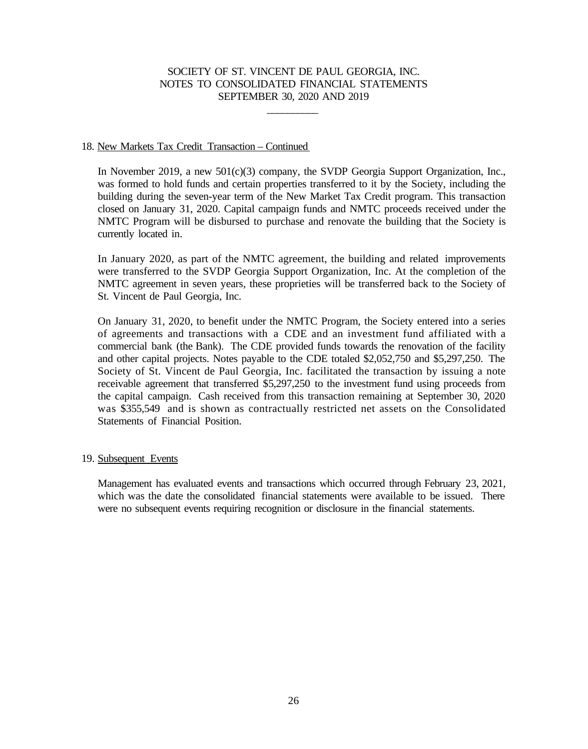\_\_\_\_\_\_\_\_\_\_

#### 18. New Markets Tax Credit Transaction – Continued

In November 2019, a new 501(c)(3) company, the SVDP Georgia Support Organization, Inc., was formed to hold funds and certain properties transferred to it by the Society, including the building during the seven-year term of the New Market Tax Credit program. This transaction closed on January 31, 2020. Capital campaign funds and NMTC proceeds received under the NMTC Program will be disbursed to purchase and renovate the building that the Society is currently located in.

In January 2020, as part of the NMTC agreement, the building and related improvements were transferred to the SVDP Georgia Support Organization, Inc. At the completion of the NMTC agreement in seven years, these proprieties will be transferred back to the Society of St. Vincent de Paul Georgia, Inc.

On January 31, 2020, to benefit under the NMTC Program, the Society entered into a series of agreements and transactions with a CDE and an investment fund affiliated with a commercial bank (the Bank). The CDE provided funds towards the renovation of the facility and other capital projects. Notes payable to the CDE totaled \$2,052,750 and \$5,297,250. The Society of St. Vincent de Paul Georgia, Inc. facilitated the transaction by issuing a note receivable agreement that transferred \$5,297,250 to the investment fund using proceeds from the capital campaign. Cash received from this transaction remaining at September 30, 2020 was \$355,549 and is shown as contractually restricted net assets on the Consolidated Statements of Financial Position.

#### 19. Subsequent Events

Management has evaluated events and transactions which occurred through February 23, 2021, which was the date the consolidated financial statements were available to be issued. There were no subsequent events requiring recognition or disclosure in the financial statements.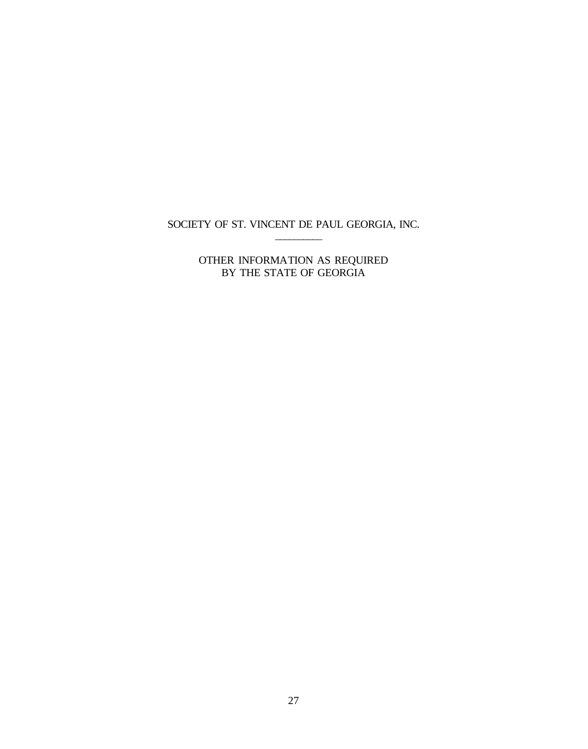# SOCIETY OF ST. VINCENT DE PAUL GEORGIA, INC.

 $\overline{\phantom{a}}$ 

OTHER INFORMATION AS REQUIRED BY THE STATE OF GEORGIA